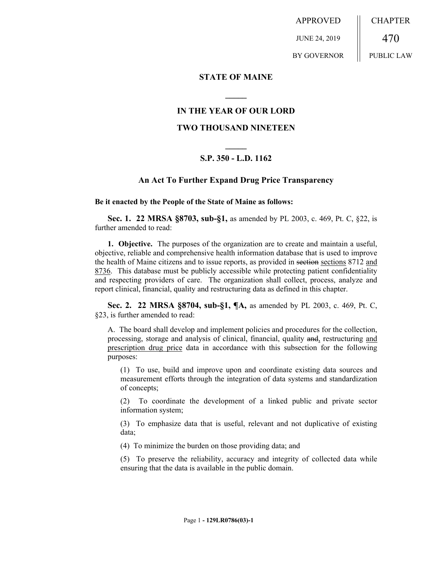APPROVED JUNE 24, 2019 BY GOVERNOR CHAPTER 470 PUBLIC LAW

**STATE OF MAINE**

# **IN THE YEAR OF OUR LORD**

**\_\_\_\_\_**

# **TWO THOUSAND NINETEEN**

# **\_\_\_\_\_ S.P. 350 - L.D. 1162**

### **An Act To Further Expand Drug Price Transparency**

#### **Be it enacted by the People of the State of Maine as follows:**

**Sec. 1. 22 MRSA §8703, sub-§1,** as amended by PL 2003, c. 469, Pt. C, §22, is further amended to read:

**1. Objective.** The purposes of the organization are to create and maintain a useful, objective, reliable and comprehensive health information database that is used to improve the health of Maine citizens and to issue reports, as provided in section sections 8712 and 8736. This database must be publicly accessible while protecting patient confidentiality and respecting providers of care. The organization shall collect, process, analyze and report clinical, financial, quality and restructuring data as defined in this chapter.

**Sec. 2. 22 MRSA §8704, sub-§1, ¶A,** as amended by PL 2003, c. 469, Pt. C, §23, is further amended to read:

A. The board shall develop and implement policies and procedures for the collection, processing, storage and analysis of clinical, financial, quality and, restructuring and prescription drug price data in accordance with this subsection for the following purposes:

(1) To use, build and improve upon and coordinate existing data sources and measurement efforts through the integration of data systems and standardization of concepts;

(2) To coordinate the development of a linked public and private sector information system;

(3) To emphasize data that is useful, relevant and not duplicative of existing data;

(4) To minimize the burden on those providing data; and

(5) To preserve the reliability, accuracy and integrity of collected data while ensuring that the data is available in the public domain.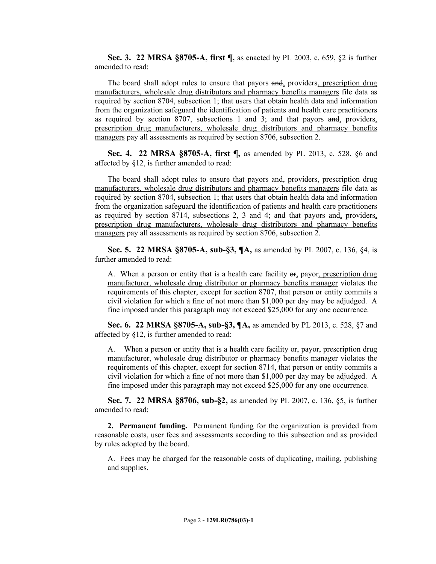**Sec. 3. 22 MRSA §8705-A, first ¶,** as enacted by PL 2003, c. 659, §2 is further amended to read:

The board shall adopt rules to ensure that payors and, providers, prescription drug manufacturers, wholesale drug distributors and pharmacy benefits managers file data as required by section 8704, subsection 1; that users that obtain health data and information from the organization safeguard the identification of patients and health care practitioners as required by section 8707, subsections 1 and 3; and that payors and, providers, prescription drug manufacturers, wholesale drug distributors and pharmacy benefits managers pay all assessments as required by section 8706, subsection 2.

**Sec. 4. 22 MRSA §8705-A, first ¶,** as amended by PL 2013, c. 528, §6 and affected by §12, is further amended to read:

The board shall adopt rules to ensure that payors and, providers, prescription drug manufacturers, wholesale drug distributors and pharmacy benefits managers file data as required by section 8704, subsection 1; that users that obtain health data and information from the organization safeguard the identification of patients and health care practitioners as required by section 8714, subsections 2, 3 and 4; and that payors and, providers, prescription drug manufacturers, wholesale drug distributors and pharmacy benefits managers pay all assessments as required by section 8706, subsection 2.

**Sec. 5. 22 MRSA §8705-A, sub-§3, ¶A,** as amended by PL 2007, c. 136, §4, is further amended to read:

A. When a person or entity that is a health care facility or, payor, prescription drug manufacturer, wholesale drug distributor or pharmacy benefits manager violates the requirements of this chapter, except for section 8707, that person or entity commits a civil violation for which a fine of not more than \$1,000 per day may be adjudged. A fine imposed under this paragraph may not exceed \$25,000 for any one occurrence.

**Sec. 6. 22 MRSA §8705-A, sub-§3, ¶A,** as amended by PL 2013, c. 528, §7 and affected by §12, is further amended to read:

A. When a person or entity that is a health care facility or, payor, prescription drug manufacturer, wholesale drug distributor or pharmacy benefits manager violates the requirements of this chapter, except for section 8714, that person or entity commits a civil violation for which a fine of not more than \$1,000 per day may be adjudged. A fine imposed under this paragraph may not exceed \$25,000 for any one occurrence.

**Sec. 7. 22 MRSA §8706, sub-§2,** as amended by PL 2007, c. 136, §5, is further amended to read:

**2. Permanent funding.** Permanent funding for the organization is provided from reasonable costs, user fees and assessments according to this subsection and as provided by rules adopted by the board.

A. Fees may be charged for the reasonable costs of duplicating, mailing, publishing and supplies.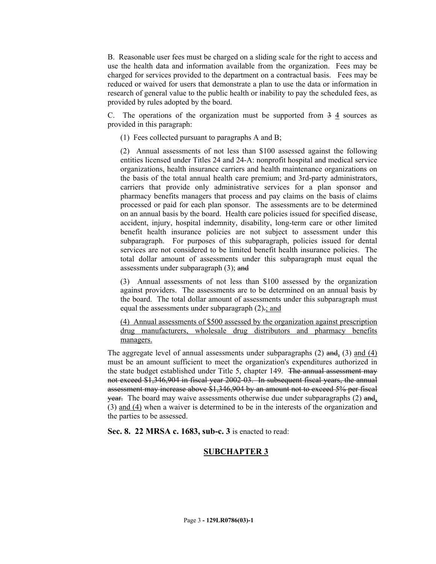B. Reasonable user fees must be charged on a sliding scale for the right to access and use the health data and information available from the organization. Fees may be charged for services provided to the department on a contractual basis. Fees may be reduced or waived for users that demonstrate a plan to use the data or information in research of general value to the public health or inability to pay the scheduled fees, as provided by rules adopted by the board.

C. The operations of the organization must be supported from  $3\frac{4}{3}$  sources as provided in this paragraph:

(1) Fees collected pursuant to paragraphs A and B;

(2) Annual assessments of not less than \$100 assessed against the following entities licensed under Titles 24 and 24-A: nonprofit hospital and medical service organizations, health insurance carriers and health maintenance organizations on the basis of the total annual health care premium; and 3rd-party administrators, carriers that provide only administrative services for a plan sponsor and pharmacy benefits managers that process and pay claims on the basis of claims processed or paid for each plan sponsor. The assessments are to be determined on an annual basis by the board. Health care policies issued for specified disease, accident, injury, hospital indemnity, disability, long-term care or other limited benefit health insurance policies are not subject to assessment under this subparagraph. For purposes of this subparagraph, policies issued for dental services are not considered to be limited benefit health insurance policies. The total dollar amount of assessments under this subparagraph must equal the assessments under subparagraph (3); and

(3) Annual assessments of not less than \$100 assessed by the organization against providers. The assessments are to be determined on an annual basis by the board. The total dollar amount of assessments under this subparagraph must equal the assessments under subparagraph  $(2)$ .; and

(4) Annual assessments of \$500 assessed by the organization against prescription drug manufacturers, wholesale drug distributors and pharmacy benefits managers.

The aggregate level of annual assessments under subparagraphs (2) and, (3) and (4) must be an amount sufficient to meet the organization's expenditures authorized in the state budget established under Title 5, chapter 149. The annual assessment may not exceed \$1,346,904 in fiscal year 2002-03. In subsequent fiscal years, the annual assessment may increase above \$1,346,904 by an amount not to exceed 5% per fiscal year. The board may waive assessments otherwise due under subparagraphs (2) and, (3) and (4) when a waiver is determined to be in the interests of the organization and the parties to be assessed.

**Sec. 8. 22 MRSA c. 1683, sub-c. 3** is enacted to read:

# **SUBCHAPTER 3**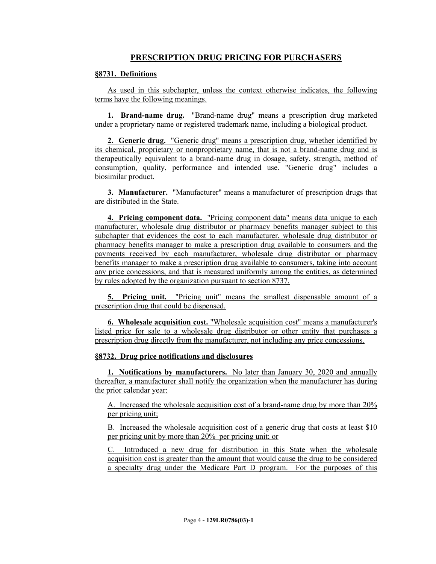# **PRESCRIPTION DRUG PRICING FOR PURCHASERS**

#### **§8731. Definitions**

As used in this subchapter, unless the context otherwise indicates, the following terms have the following meanings.

**1. Brand-name drug.** "Brand-name drug" means a prescription drug marketed under a proprietary name or registered trademark name, including a biological product.

**2. Generic drug.** "Generic drug" means a prescription drug, whether identified by its chemical, proprietary or nonproprietary name, that is not a brand-name drug and is therapeutically equivalent to a brand-name drug in dosage, safety, strength, method of consumption, quality, performance and intended use. "Generic drug" includes a biosimilar product.

**3. Manufacturer.** "Manufacturer" means a manufacturer of prescription drugs that are distributed in the State.

**4. Pricing component data.** "Pricing component data" means data unique to each manufacturer, wholesale drug distributor or pharmacy benefits manager subject to this subchapter that evidences the cost to each manufacturer, wholesale drug distributor or pharmacy benefits manager to make a prescription drug available to consumers and the payments received by each manufacturer, wholesale drug distributor or pharmacy benefits manager to make a prescription drug available to consumers, taking into account any price concessions, and that is measured uniformly among the entities, as determined by rules adopted by the organization pursuant to section 8737.

**5. Pricing unit.** "Pricing unit" means the smallest dispensable amount of a prescription drug that could be dispensed.

**6. Wholesale acquisition cost.** "Wholesale acquisition cost" means a manufacturer's listed price for sale to a wholesale drug distributor or other entity that purchases a prescription drug directly from the manufacturer, not including any price concessions.

#### **§8732. Drug price notifications and disclosures**

**1. Notifications by manufacturers.** No later than January 30, 2020 and annually thereafter, a manufacturer shall notify the organization when the manufacturer has during the prior calendar year:

A. Increased the wholesale acquisition cost of a brand-name drug by more than 20% per pricing unit;

B. Increased the wholesale acquisition cost of a generic drug that costs at least \$10 per pricing unit by more than 20% per pricing unit; or

C. Introduced a new drug for distribution in this State when the wholesale acquisition cost is greater than the amount that would cause the drug to be considered a specialty drug under the Medicare Part D program. For the purposes of this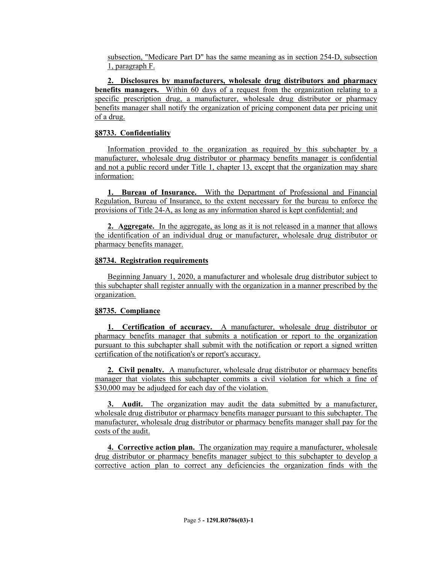subsection, "Medicare Part D" has the same meaning as in section 254-D, subsection 1, paragraph F.

**2. Disclosures by manufacturers, wholesale drug distributors and pharmacy benefits managers.** Within 60 days of a request from the organization relating to a specific prescription drug, a manufacturer, wholesale drug distributor or pharmacy benefits manager shall notify the organization of pricing component data per pricing unit of a drug.

# **§8733. Confidentiality**

Information provided to the organization as required by this subchapter by a manufacturer, wholesale drug distributor or pharmacy benefits manager is confidential and not a public record under Title 1, chapter 13, except that the organization may share information:

**1. Bureau of Insurance.** With the Department of Professional and Financial Regulation, Bureau of Insurance, to the extent necessary for the bureau to enforce the provisions of Title 24-A, as long as any information shared is kept confidential; and

**2. Aggregate.** In the aggregate, as long as it is not released in a manner that allows the identification of an individual drug or manufacturer, wholesale drug distributor or pharmacy benefits manager.

# **§8734. Registration requirements**

Beginning January 1, 2020, a manufacturer and wholesale drug distributor subject to this subchapter shall register annually with the organization in a manner prescribed by the organization.

# **§8735. Compliance**

**1. Certification of accuracy.** A manufacturer, wholesale drug distributor or pharmacy benefits manager that submits a notification or report to the organization pursuant to this subchapter shall submit with the notification or report a signed written certification of the notification's or report's accuracy.

**2. Civil penalty.** A manufacturer, wholesale drug distributor or pharmacy benefits manager that violates this subchapter commits a civil violation for which a fine of \$30,000 may be adjudged for each day of the violation.

**3. Audit.** The organization may audit the data submitted by a manufacturer, wholesale drug distributor or pharmacy benefits manager pursuant to this subchapter. The manufacturer, wholesale drug distributor or pharmacy benefits manager shall pay for the costs of the audit.

**4. Corrective action plan.** The organization may require a manufacturer, wholesale drug distributor or pharmacy benefits manager subject to this subchapter to develop a corrective action plan to correct any deficiencies the organization finds with the